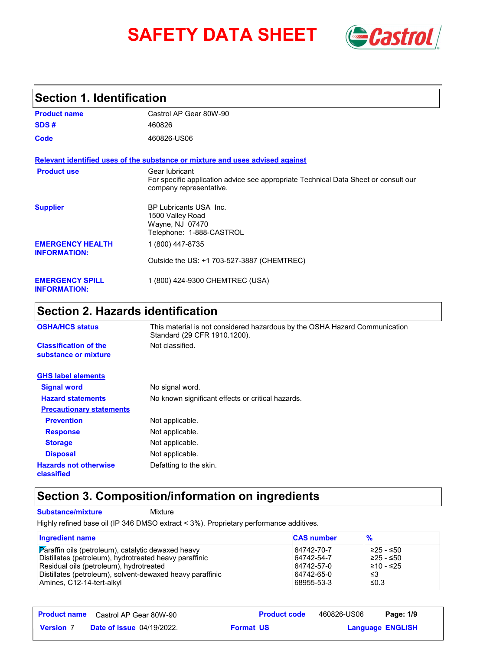# **SAFETY DATA SHEET** *Castrol*



### **Section 1. Identification**

| <b>Product name</b>                            | Castrol AP Gear 80W-90                                                                                                           |
|------------------------------------------------|----------------------------------------------------------------------------------------------------------------------------------|
| SDS#                                           | 460826                                                                                                                           |
| Code                                           | 460826-US06                                                                                                                      |
|                                                | Relevant identified uses of the substance or mixture and uses advised against                                                    |
| <b>Product use</b>                             | Gear lubricant<br>For specific application advice see appropriate Technical Data Sheet or consult our<br>company representative. |
| <b>Supplier</b>                                | BP Lubricants USA Inc.<br>1500 Valley Road<br>Wayne, NJ 07470<br>Telephone: 1-888-CASTROL                                        |
| <b>EMERGENCY HEALTH</b><br><b>INFORMATION:</b> | 1 (800) 447-8735                                                                                                                 |
|                                                | Outside the US: +1 703-527-3887 (CHEMTREC)                                                                                       |
| <b>EMERGENCY SPILL</b><br><b>INFORMATION:</b>  | 1 (800) 424-9300 CHEMTREC (USA)                                                                                                  |

# **Section 2. Hazards identification**

| <b>OSHA/HCS status</b>                               | This material is not considered hazardous by the OSHA Hazard Communication<br>Standard (29 CFR 1910.1200). |
|------------------------------------------------------|------------------------------------------------------------------------------------------------------------|
| <b>Classification of the</b><br>substance or mixture | Not classified.                                                                                            |
| <b>GHS label elements</b>                            |                                                                                                            |
| <b>Signal word</b>                                   | No signal word.                                                                                            |
| <b>Hazard statements</b>                             | No known significant effects or critical hazards.                                                          |
| <b>Precautionary statements</b>                      |                                                                                                            |
| <b>Prevention</b>                                    | Not applicable.                                                                                            |
| <b>Response</b>                                      | Not applicable.                                                                                            |
| <b>Storage</b>                                       | Not applicable.                                                                                            |
| <b>Disposal</b>                                      | Not applicable.                                                                                            |
| <b>Hazards not otherwise</b><br>classified           | Defatting to the skin.                                                                                     |

# **Section 3. Composition/information on ingredients**

**Substance/mixture Mixture** 

Highly refined base oil (IP 346 DMSO extract < 3%). Proprietary performance additives.

| <b>Ingredient name</b>                                    | <b>CAS number</b> | $\frac{9}{6}$ |
|-----------------------------------------------------------|-------------------|---------------|
| Paraffin oils (petroleum), catalytic dewaxed heavy        | 64742-70-7        | ≥25 - ≤50     |
| Distillates (petroleum), hydrotreated heavy paraffinic    | 64742-54-7        | ≥25 - ≤50     |
| Residual oils (petroleum), hydrotreated                   | 64742-57-0        | ≥10 - ≤25     |
| Distillates (petroleum), solvent-dewaxed heavy paraffinic | 64742-65-0        | -≤3           |
| Amines, C12-14-tert-alkyl                                 | 68955-53-3        | ≤0.3          |

| <b>Product name</b> | Castrol AP Gear 80W-90           | <b>Product code</b> | 460826-US06 | Page: 1/9               |
|---------------------|----------------------------------|---------------------|-------------|-------------------------|
| <b>Version 7</b>    | <b>Date of issue 04/19/2022.</b> | <b>Format US</b>    |             | <b>Language ENGLISH</b> |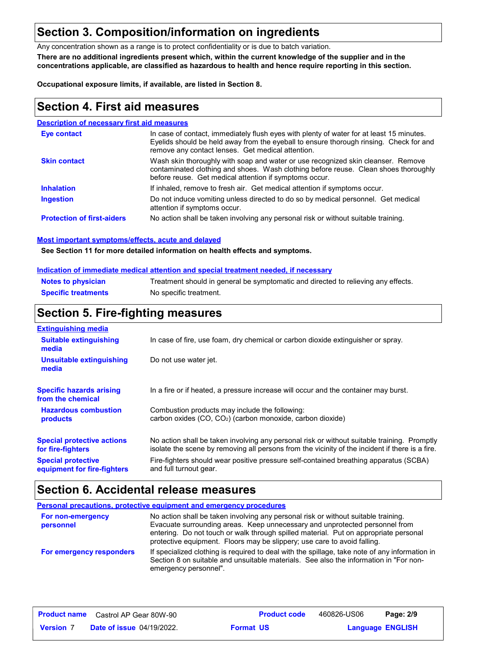### **Section 3. Composition/information on ingredients**

Any concentration shown as a range is to protect confidentiality or is due to batch variation.

**There are no additional ingredients present which, within the current knowledge of the supplier and in the concentrations applicable, are classified as hazardous to health and hence require reporting in this section.**

**Occupational exposure limits, if available, are listed in Section 8.**

### **Section 4. First aid measures**

#### **Description of necessary first aid measures**

| <b>Eve contact</b>                | In case of contact, immediately flush eyes with plenty of water for at least 15 minutes.<br>Eyelids should be held away from the eyeball to ensure thorough rinsing. Check for and<br>remove any contact lenses. Get medical attention. |
|-----------------------------------|-----------------------------------------------------------------------------------------------------------------------------------------------------------------------------------------------------------------------------------------|
| <b>Skin contact</b>               | Wash skin thoroughly with soap and water or use recognized skin cleanser. Remove<br>contaminated clothing and shoes. Wash clothing before reuse. Clean shoes thoroughly<br>before reuse. Get medical attention if symptoms occur.       |
| <b>Inhalation</b>                 | If inhaled, remove to fresh air. Get medical attention if symptoms occur.                                                                                                                                                               |
| <b>Ingestion</b>                  | Do not induce vomiting unless directed to do so by medical personnel. Get medical<br>attention if symptoms occur.                                                                                                                       |
| <b>Protection of first-aiders</b> | No action shall be taken involving any personal risk or without suitable training.                                                                                                                                                      |

#### **Most important symptoms/effects, acute and delayed**

**See Section 11 for more detailed information on health effects and symptoms.**

#### **Indication of immediate medical attention and special treatment needed, if necessary**

| <b>Notes to physician</b>  | Treatment should in general be symptomatic and directed to relieving any effects. |
|----------------------------|-----------------------------------------------------------------------------------|
| <b>Specific treatments</b> | No specific treatment.                                                            |

### **Section 5. Fire-fighting measures**

| <b>Extinguishing media</b>                               |                                                                                                                                                                                                |
|----------------------------------------------------------|------------------------------------------------------------------------------------------------------------------------------------------------------------------------------------------------|
| <b>Suitable extinguishing</b><br>media                   | In case of fire, use foam, dry chemical or carbon dioxide extinguisher or spray.                                                                                                               |
| Unsuitable extinguishing<br>media                        | Do not use water jet.                                                                                                                                                                          |
| <b>Specific hazards arising</b><br>from the chemical     | In a fire or if heated, a pressure increase will occur and the container may burst.                                                                                                            |
| <b>Hazardous combustion</b><br>products                  | Combustion products may include the following:<br>carbon oxides (CO, CO <sub>2</sub> ) (carbon monoxide, carbon dioxide)                                                                       |
| <b>Special protective actions</b><br>for fire-fighters   | No action shall be taken involving any personal risk or without suitable training. Promptly<br>isolate the scene by removing all persons from the vicinity of the incident if there is a fire. |
| <b>Special protective</b><br>equipment for fire-fighters | Fire-fighters should wear positive pressure self-contained breathing apparatus (SCBA)<br>and full turnout gear.                                                                                |

## **Section 6. Accidental release measures**

|                                | <b>Personal precautions, protective equipment and emergency procedures</b>                                                                                                                                                                                                                                                            |
|--------------------------------|---------------------------------------------------------------------------------------------------------------------------------------------------------------------------------------------------------------------------------------------------------------------------------------------------------------------------------------|
| For non-emergency<br>personnel | No action shall be taken involving any personal risk or without suitable training.<br>Evacuate surrounding areas. Keep unnecessary and unprotected personnel from<br>entering. Do not touch or walk through spilled material. Put on appropriate personal<br>protective equipment. Floors may be slippery; use care to avoid falling. |
| For emergency responders       | If specialized clothing is required to deal with the spillage, take note of any information in<br>Section 8 on suitable and unsuitable materials. See also the information in "For non-<br>emergency personnel".                                                                                                                      |

|                  | <b>Product name</b> Castrol AP Gear 80W-90 | <b>Product code</b> | 460826-US06 | Page: 2/9               |
|------------------|--------------------------------------------|---------------------|-------------|-------------------------|
| <b>Version 7</b> | <b>Date of issue 04/19/2022.</b>           | <b>Format US</b>    |             | <b>Language ENGLISH</b> |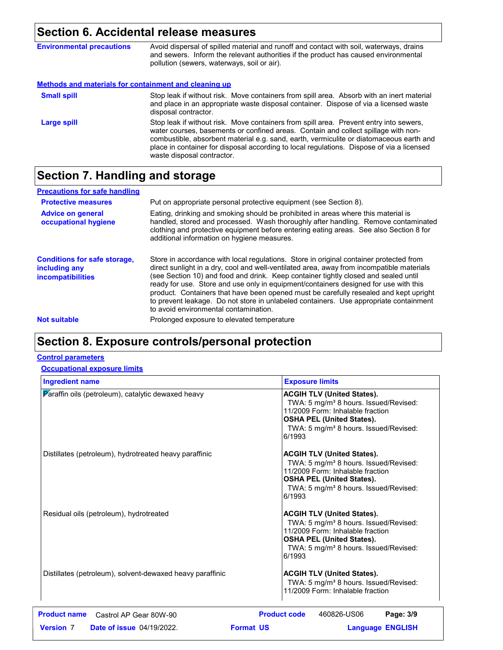# **Section 6. Accidental release measures**

| <b>Environmental precautions</b>                             | Avoid dispersal of spilled material and runoff and contact with soil, waterways, drains<br>and sewers. Inform the relevant authorities if the product has caused environmental<br>pollution (sewers, waterways, soil or air).                                                                                                                                                                      |
|--------------------------------------------------------------|----------------------------------------------------------------------------------------------------------------------------------------------------------------------------------------------------------------------------------------------------------------------------------------------------------------------------------------------------------------------------------------------------|
| <b>Methods and materials for containment and cleaning up</b> |                                                                                                                                                                                                                                                                                                                                                                                                    |
| <b>Small spill</b>                                           | Stop leak if without risk. Move containers from spill area. Absorb with an inert material<br>and place in an appropriate waste disposal container. Dispose of via a licensed waste<br>disposal contractor.                                                                                                                                                                                         |
| Large spill                                                  | Stop leak if without risk. Move containers from spill area. Prevent entry into sewers,<br>water courses, basements or confined areas. Contain and collect spillage with non-<br>combustible, absorbent material e.g. sand, earth, vermiculite or diatomaceous earth and<br>place in container for disposal according to local regulations. Dispose of via a licensed<br>waste disposal contractor. |

# **Section 7. Handling and storage**

| <b>Precautions for safe handling</b>                                             |                                                                                                                                                                                                                                                                                                                                                                                                                                                                                                                                                                                               |
|----------------------------------------------------------------------------------|-----------------------------------------------------------------------------------------------------------------------------------------------------------------------------------------------------------------------------------------------------------------------------------------------------------------------------------------------------------------------------------------------------------------------------------------------------------------------------------------------------------------------------------------------------------------------------------------------|
| <b>Protective measures</b>                                                       | Put on appropriate personal protective equipment (see Section 8).                                                                                                                                                                                                                                                                                                                                                                                                                                                                                                                             |
| <b>Advice on general</b><br>occupational hygiene                                 | Eating, drinking and smoking should be prohibited in areas where this material is<br>handled, stored and processed. Wash thoroughly after handling. Remove contaminated<br>clothing and protective equipment before entering eating areas. See also Section 8 for<br>additional information on hygiene measures.                                                                                                                                                                                                                                                                              |
| <b>Conditions for safe storage,</b><br>including any<br><i>incompatibilities</i> | Store in accordance with local regulations. Store in original container protected from<br>direct sunlight in a dry, cool and well-ventilated area, away from incompatible materials<br>(see Section 10) and food and drink. Keep container tightly closed and sealed until<br>ready for use. Store and use only in equipment/containers designed for use with this<br>product. Containers that have been opened must be carefully resealed and kept upright<br>to prevent leakage. Do not store in unlabeled containers. Use appropriate containment<br>to avoid environmental contamination. |
| <b>Not suitable</b>                                                              | Prolonged exposure to elevated temperature                                                                                                                                                                                                                                                                                                                                                                                                                                                                                                                                                    |
|                                                                                  |                                                                                                                                                                                                                                                                                                                                                                                                                                                                                                                                                                                               |

# **Section 8. Exposure controls/personal protection**

### **Control parameters**

### **Occupational exposure limits**

| <b>Ingredient name</b>                                    | <b>Exposure limits</b>                                                                                                                                                                                                        |
|-----------------------------------------------------------|-------------------------------------------------------------------------------------------------------------------------------------------------------------------------------------------------------------------------------|
| Paraffin oils (petroleum), catalytic dewaxed heavy        | <b>ACGIH TLV (United States).</b><br>TWA: 5 mg/m <sup>3</sup> 8 hours. Issued/Revised:<br>11/2009 Form: Inhalable fraction<br><b>OSHA PEL (United States).</b><br>TWA: 5 mg/m <sup>3</sup> 8 hours. Issued/Revised:<br>6/1993 |
| Distillates (petroleum), hydrotreated heavy paraffinic    | <b>ACGIH TLV (United States).</b><br>TWA: 5 mg/m <sup>3</sup> 8 hours. Issued/Revised:<br>11/2009 Form: Inhalable fraction<br><b>OSHA PEL (United States).</b><br>TWA: 5 mg/m <sup>3</sup> 8 hours. Issued/Revised:<br>6/1993 |
| Residual oils (petroleum), hydrotreated                   | <b>ACGIH TLV (United States).</b><br>TWA: 5 mg/m <sup>3</sup> 8 hours. Issued/Revised:<br>11/2009 Form: Inhalable fraction<br><b>OSHA PEL (United States).</b><br>TWA: 5 mg/m <sup>3</sup> 8 hours. Issued/Revised:<br>6/1993 |
| Distillates (petroleum), solvent-dewaxed heavy paraffinic | <b>ACGIH TLV (United States).</b><br>TWA: 5 mg/m <sup>3</sup> 8 hours. Issued/Revised:<br>11/2009 Form: Inhalable fraction                                                                                                    |
| <b>Product name</b><br>Castrol AP Gear 80W-90             | <b>Product code</b><br>Page: 3/9<br>460826-US06                                                                                                                                                                               |
| <b>Version 7</b><br><b>Date of issue 04/19/2022.</b>      | <b>Format US</b><br><b>Language ENGLISH</b>                                                                                                                                                                                   |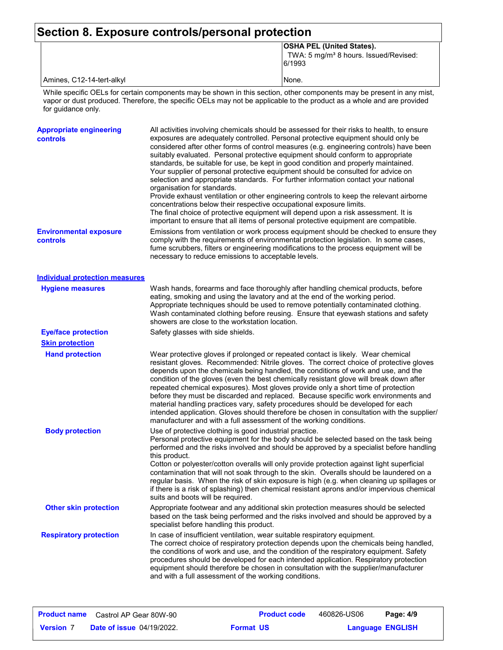### **Section 8. Exposure controls/personal protection**

|  | <b>OSHA PEL (United States).</b>                            |
|--|-------------------------------------------------------------|
|  | TWA: 5 mg/m <sup>3</sup> 8 hours. Issued/Revised:<br>6/1993 |

Amines, C12-14-tert-alkyl None.

While specific OELs for certain components may be shown in this section, other components may be present in any mist, vapor or dust produced. Therefore, the specific OELs may not be applicable to the product as a whole and are provided for guidance only.

| <b>Appropriate engineering</b><br>controls | All activities involving chemicals should be assessed for their risks to health, to ensure<br>exposures are adequately controlled. Personal protective equipment should only be<br>considered after other forms of control measures (e.g. engineering controls) have been<br>suitably evaluated. Personal protective equipment should conform to appropriate<br>standards, be suitable for use, be kept in good condition and properly maintained.<br>Your supplier of personal protective equipment should be consulted for advice on<br>selection and appropriate standards. For further information contact your national<br>organisation for standards.<br>Provide exhaust ventilation or other engineering controls to keep the relevant airborne<br>concentrations below their respective occupational exposure limits.<br>The final choice of protective equipment will depend upon a risk assessment. It is<br>important to ensure that all items of personal protective equipment are compatible. |
|--------------------------------------------|------------------------------------------------------------------------------------------------------------------------------------------------------------------------------------------------------------------------------------------------------------------------------------------------------------------------------------------------------------------------------------------------------------------------------------------------------------------------------------------------------------------------------------------------------------------------------------------------------------------------------------------------------------------------------------------------------------------------------------------------------------------------------------------------------------------------------------------------------------------------------------------------------------------------------------------------------------------------------------------------------------|
| <b>Environmental exposure</b><br>controls  | Emissions from ventilation or work process equipment should be checked to ensure they<br>comply with the requirements of environmental protection legislation. In some cases,<br>fume scrubbers, filters or engineering modifications to the process equipment will be<br>necessary to reduce emissions to acceptable levels.                                                                                                                                                                                                                                                                                                                                                                                                                                                                                                                                                                                                                                                                              |
| <b>Individual protection measures</b>      |                                                                                                                                                                                                                                                                                                                                                                                                                                                                                                                                                                                                                                                                                                                                                                                                                                                                                                                                                                                                            |
| <b>Hygiene measures</b>                    | Wash hands, forearms and face thoroughly after handling chemical products, before<br>eating, smoking and using the lavatory and at the end of the working period.<br>Appropriate techniques should be used to remove potentially contaminated clothing.<br>Wash contaminated clothing before reusing. Ensure that eyewash stations and safety<br>showers are close to the workstation location.                                                                                                                                                                                                                                                                                                                                                                                                                                                                                                                                                                                                            |
| <b>Eye/face protection</b>                 | Safety glasses with side shields.                                                                                                                                                                                                                                                                                                                                                                                                                                                                                                                                                                                                                                                                                                                                                                                                                                                                                                                                                                          |
| <b>Skin protection</b>                     |                                                                                                                                                                                                                                                                                                                                                                                                                                                                                                                                                                                                                                                                                                                                                                                                                                                                                                                                                                                                            |
| <b>Hand protection</b>                     | Wear protective gloves if prolonged or repeated contact is likely. Wear chemical<br>resistant gloves. Recommended: Nitrile gloves. The correct choice of protective gloves<br>depends upon the chemicals being handled, the conditions of work and use, and the<br>condition of the gloves (even the best chemically resistant glove will break down after<br>repeated chemical exposures). Most gloves provide only a short time of protection<br>before they must be discarded and replaced. Because specific work environments and<br>material handling practices vary, safety procedures should be developed for each<br>intended application. Gloves should therefore be chosen in consultation with the supplier/<br>manufacturer and with a full assessment of the working conditions.                                                                                                                                                                                                              |
| <b>Body protection</b>                     | Use of protective clothing is good industrial practice.<br>Personal protective equipment for the body should be selected based on the task being<br>performed and the risks involved and should be approved by a specialist before handling<br>this product.<br>Cotton or polyester/cotton overalls will only provide protection against light superficial<br>contamination that will not soak through to the skin. Overalls should be laundered on a<br>regular basis. When the risk of skin exposure is high (e.g. when cleaning up spillages or<br>if there is a risk of splashing) then chemical resistant aprons and/or impervious chemical<br>suits and boots will be required.                                                                                                                                                                                                                                                                                                                      |
| <b>Other skin protection</b>               | Appropriate footwear and any additional skin protection measures should be selected<br>based on the task being performed and the risks involved and should be approved by a<br>specialist before handling this product.                                                                                                                                                                                                                                                                                                                                                                                                                                                                                                                                                                                                                                                                                                                                                                                    |
| <b>Respiratory protection</b>              | In case of insufficient ventilation, wear suitable respiratory equipment.<br>The correct choice of respiratory protection depends upon the chemicals being handled,<br>the conditions of work and use, and the condition of the respiratory equipment. Safety<br>procedures should be developed for each intended application. Respiratory protection<br>equipment should therefore be chosen in consultation with the supplier/manufacturer<br>and with a full assessment of the working conditions.                                                                                                                                                                                                                                                                                                                                                                                                                                                                                                      |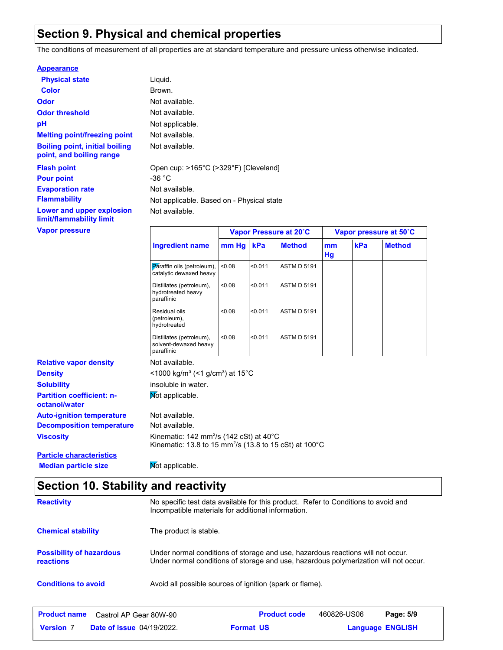### **Section 9. Physical and chemical properties**

The conditions of measurement of all properties are at standard temperature and pressure unless otherwise indicated.

#### **Appearance**

| <b>Physical state</b>                                             | Liquid.                              |
|-------------------------------------------------------------------|--------------------------------------|
| Color                                                             | Brown.                               |
| Odor                                                              | Not available.                       |
| <b>Odor threshold</b>                                             | Not available.                       |
| рH                                                                | Not applicable.                      |
| <b>Melting point/freezing point</b>                               | Not available.                       |
| <b>Boiling point, initial boiling</b><br>point, and boiling range | Not available.                       |
| <b>Flash point</b><br><b>Pour point</b>                           | Open cup: $>165^{\circ}$ C<br>-36 °C |
| <b>Evaporation rate</b>                                           | Not available.                       |
| <b>Flammability</b>                                               | Not applicable. Ba                   |
| Lower and upper explosion<br>limit/flammability limit             | Not available.                       |
|                                                                   |                                      |

vailable. vailable. pplicable. Based on - Physical state cup: >165°C (>329°F) [Cleveland]

| <b>Vapor pressure</b>                             |                                                                                                                                 | Vapor Pressure at 20°C |         |                    | Vapor pressure at 50°C |     |               |
|---------------------------------------------------|---------------------------------------------------------------------------------------------------------------------------------|------------------------|---------|--------------------|------------------------|-----|---------------|
|                                                   | <b>Ingredient name</b>                                                                                                          | $mm$ Hg                | kPa     | <b>Method</b>      | mm<br>Hg               | kPa | <b>Method</b> |
|                                                   | Paraffin oils (petroleum),<br>catalytic dewaxed heavy                                                                           | < 0.08                 | < 0.011 | <b>ASTM D 5191</b> |                        |     |               |
|                                                   | Distillates (petroleum),<br>hydrotreated heavy<br>paraffinic                                                                    | < 0.08                 | < 0.011 | <b>ASTM D 5191</b> |                        |     |               |
|                                                   | Residual oils<br>(petroleum),<br>hydrotreated                                                                                   | < 0.08                 | < 0.011 | <b>ASTM D 5191</b> |                        |     |               |
|                                                   | Distillates (petroleum),<br>solvent-dewaxed heavy<br>paraffinic                                                                 | < 0.08                 | < 0.011 | <b>ASTM D 5191</b> |                        |     |               |
| <b>Relative vapor density</b>                     | Not available.                                                                                                                  |                        |         |                    |                        |     |               |
| <b>Density</b>                                    | $<$ 1000 kg/m <sup>3</sup> (<1 g/cm <sup>3</sup> ) at 15 <sup>°</sup> C                                                         |                        |         |                    |                        |     |               |
| <b>Solubility</b>                                 | insoluble in water.                                                                                                             |                        |         |                    |                        |     |               |
| <b>Partition coefficient: n-</b><br>octanol/water | Not applicable.                                                                                                                 |                        |         |                    |                        |     |               |
| <b>Auto-ignition temperature</b>                  | Not available.                                                                                                                  |                        |         |                    |                        |     |               |
| <b>Decomposition temperature</b>                  | Not available.                                                                                                                  |                        |         |                    |                        |     |               |
| <b>Viscosity</b>                                  | Kinematic: $142 \text{ mm}^2/\text{s}$ (142 cSt) at 40°C<br>Kinematic: 13.8 to 15 mm <sup>2</sup> /s (13.8 to 15 cSt) at 100 °C |                        |         |                    |                        |     |               |
| <b>Particle characteristics</b>                   |                                                                                                                                 |                        |         |                    |                        |     |               |

**Median particle size Mot applicable.** 

### **Section 10. Stability and reactivity**

| <b>Reactivity</b>                            | No specific test data available for this product. Refer to Conditions to avoid and<br>Incompatible materials for additional information.                                |
|----------------------------------------------|-------------------------------------------------------------------------------------------------------------------------------------------------------------------------|
| <b>Chemical stability</b>                    | The product is stable.                                                                                                                                                  |
| <b>Possibility of hazardous</b><br>reactions | Under normal conditions of storage and use, hazardous reactions will not occur.<br>Under normal conditions of storage and use, hazardous polymerization will not occur. |
| <b>Conditions to avoid</b>                   | Avoid all possible sources of ignition (spark or flame).                                                                                                                |
|                                              | _ _ _                                                                                                                                                                   |

| <b>Product name</b> | Castrol AP Gear 80W-90           |                  | <b>Product code</b> | 460826-US06 | Page: 5/9               |
|---------------------|----------------------------------|------------------|---------------------|-------------|-------------------------|
| <b>Version 7</b>    | <b>Date of issue 04/19/2022.</b> | <b>Format US</b> |                     |             | <b>Language ENGLISH</b> |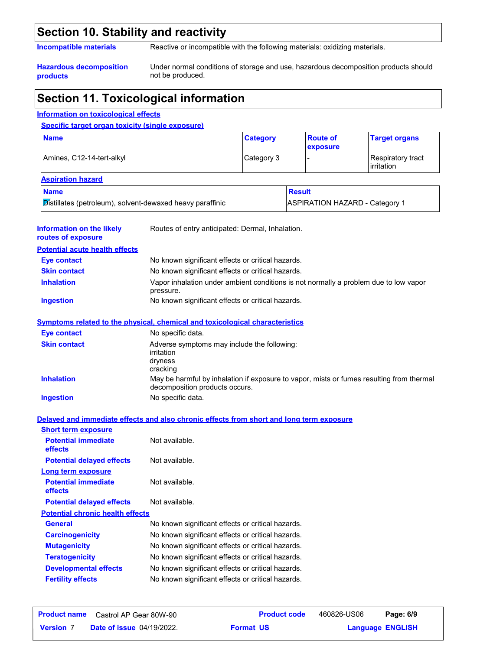### **Section 10. Stability and reactivity**

**Incompatible materials** Reactive or incompatible with the following materials: oxidizing materials.

**Hazardous decomposition products**

Under normal conditions of storage and use, hazardous decomposition products should not be produced.

### **Section 11. Toxicological information**

#### **Information on the likely routes of exposure Ingestion** No known significant effects or critical hazards. **Skin contact** No known significant effects or critical hazards. **Eye contact** No known significant effects or critical hazards. **General General** No known significant effects or critical hazards. **Carcinogenicity** No known significant effects or critical hazards. **Mutagenicity** No known significant effects or critical hazards. **Teratogenicity** No known significant effects or critical hazards. **Developmental effects** No known significant effects or critical hazards. **Fertility effects** No known significant effects or critical hazards. **Symptoms related to the physical, chemical and toxicological characteristics Skin contact Ingestion** No specific data. Adverse symptoms may include the following: irritation dryness cracking **Eye contact** No specific data. **Potential chronic health effects Delayed and immediate effects and also chronic effects from short and long term exposure Specific target organ toxicity (single exposure)** Amines, C12-14-tert-alkyl **Category 3** - Respiratory tract irritation **Name Category Aspiration hazard Name Result** Distillates (petroleum), solvent-dewaxed heavy paraffinic **ASPIRATION HAZARD** - Category 1 **Route of exposure Target organs** Routes of entry anticipated: Dermal, Inhalation. **Potential acute health effects Potential immediate effects** Not available. **Short term exposure Potential delayed effects** Not available. **Potential immediate effects** Not available. **Long term exposure Potential delayed effects** Not available. **Information on toxicological effects Inhalation** Vapor inhalation under ambient conditions is not normally a problem due to low vapor pressure. **Inhalation** May be harmful by inhalation if exposure to vapor, mists or fumes resulting from thermal decomposition products occurs.

| <b>Product name</b> | Castrol AP Gear 80W-90           | <b>Product code</b> | 460826-US06 | Page: 6/9               |  |
|---------------------|----------------------------------|---------------------|-------------|-------------------------|--|
| <b>Version 7</b>    | <b>Date of issue 04/19/2022.</b> | <b>Format US</b>    |             | <b>Language ENGLISH</b> |  |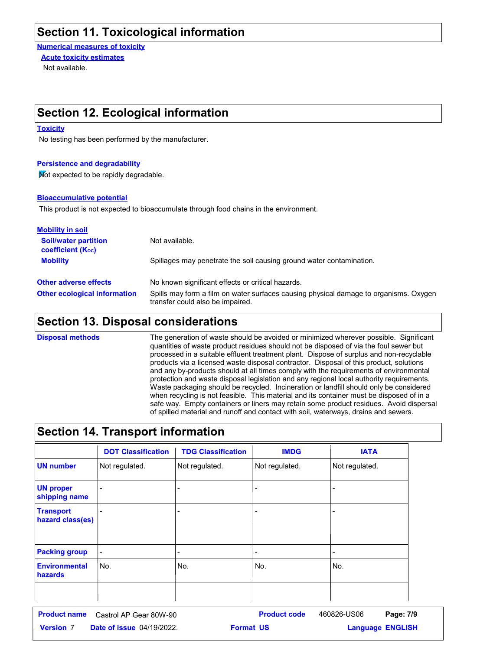### **Section 11. Toxicological information**

**Numerical measures of toxicity** Not available. **Acute toxicity estimates**

### **Section 12. Ecological information**

#### **Toxicity**

No testing has been performed by the manufacturer.

#### **Persistence and degradability**

Not expected to be rapidly degradable.

#### **Bioaccumulative potential**

This product is not expected to bioaccumulate through food chains in the environment.

| <b>Mobility in soil</b>                                 |                                                                                                                           |
|---------------------------------------------------------|---------------------------------------------------------------------------------------------------------------------------|
| <b>Soil/water partition</b><br><b>coefficient (Koc)</b> | Not available.                                                                                                            |
| <b>Mobility</b>                                         | Spillages may penetrate the soil causing ground water contamination.                                                      |
| <b>Other adverse effects</b>                            | No known significant effects or critical hazards.                                                                         |
| <b>Other ecological information</b>                     | Spills may form a film on water surfaces causing physical damage to organisms. Oxygen<br>transfer could also be impaired. |

### **Section 13. Disposal considerations**

The generation of waste should be avoided or minimized wherever possible. Significant quantities of waste product residues should not be disposed of via the foul sewer but processed in a suitable effluent treatment plant. Dispose of surplus and non-recyclable products via a licensed waste disposal contractor. Disposal of this product, solutions and any by-products should at all times comply with the requirements of environmental protection and waste disposal legislation and any regional local authority requirements. Waste packaging should be recycled. Incineration or landfill should only be considered when recycling is not feasible. This material and its container must be disposed of in a safe way. Empty containers or liners may retain some product residues. Avoid dispersal of spilled material and runoff and contact with soil, waterways, drains and sewers. **Disposal methods**

### **Section 14. Transport information**

|                                        | <b>DOT Classification</b> | <b>TDG Classification</b> | <b>IMDG</b>    | <b>IATA</b>              |
|----------------------------------------|---------------------------|---------------------------|----------------|--------------------------|
| <b>UN number</b>                       | Not regulated.            | Not regulated.            | Not regulated. | Not regulated.           |
| <b>UN proper</b><br>shipping name      |                           |                           |                |                          |
| <b>Transport</b><br>hazard class(es)   |                           |                           |                |                          |
| <b>Packing group</b>                   | $\overline{a}$            |                           |                | $\overline{\phantom{a}}$ |
| <b>Environmental</b><br><b>hazards</b> | No.                       | No.                       | No.            | No.                      |
|                                        |                           |                           |                |                          |

|                  | <b>Product name</b> Castrol AP Gear 80W-90 | <b>Product code</b> | 460826-US06 | Page: 7/9               |  |
|------------------|--------------------------------------------|---------------------|-------------|-------------------------|--|
| <b>Version 7</b> | <b>Date of issue 04/19/2022.</b>           | <b>Format US</b>    |             | <b>Language ENGLISH</b> |  |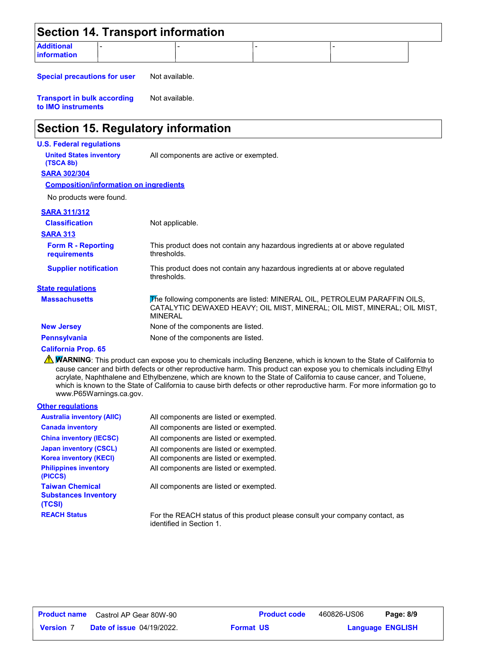|                                         | <b>Section 14. Transport information</b> |  |  |
|-----------------------------------------|------------------------------------------|--|--|
| <b>Additional</b><br><b>information</b> |                                          |  |  |

**Special precautions for user** Not available.

**Transport in bulk according to IMO instruments** Not available.

### **Section 15. Regulatory information**

#### **U.S. Federal regulations**

**United States inventory** All components are active or exempted.

**SARA 302/304 (TSCA 8b)**

#### **Composition/information on ingredients**

No products were found.

#### **SARA 311/312**

| <b>Classification</b><br><b>SARA 313</b>  | Not applicable.                                                                                                                                                          |
|-------------------------------------------|--------------------------------------------------------------------------------------------------------------------------------------------------------------------------|
| <b>Form R - Reporting</b><br>requirements | This product does not contain any hazardous ingredients at or above regulated<br>thresholds.                                                                             |
| <b>Supplier notification</b>              | This product does not contain any hazardous ingredients at or above regulated<br>thresholds.                                                                             |
| <b>State regulations</b>                  |                                                                                                                                                                          |
| <b>Massachusetts</b>                      | The following components are listed: MINERAL OIL, PETROLEUM PARAFFIN OILS,<br>CATALYTIC DEWAXED HEAVY; OIL MIST, MINERAL; OIL MIST, MINERAL; OIL MIST,<br><b>MINERAL</b> |
| <b>New Jersey</b>                         | None of the components are listed.                                                                                                                                       |
| <b>Pennsylvania</b>                       | None of the components are listed.                                                                                                                                       |

#### **California Prop. 65**

**NARNING**: This product can expose you to chemicals including Benzene, which is known to the State of California to cause cancer and birth defects or other reproductive harm. This product can expose you to chemicals including Ethyl acrylate, Naphthalene and Ethylbenzene, which are known to the State of California to cause cancer, and Toluene, which is known to the State of California to cause birth defects or other reproductive harm. For more information go to www.P65Warnings.ca.gov.

#### **Other regulations**

| <b>Australia inventory (AIIC)</b>                               | All components are listed or exempted.                                                                   |
|-----------------------------------------------------------------|----------------------------------------------------------------------------------------------------------|
| <b>Canada inventory</b>                                         | All components are listed or exempted.                                                                   |
| <b>China inventory (IECSC)</b>                                  | All components are listed or exempted.                                                                   |
| <b>Japan inventory (CSCL)</b>                                   | All components are listed or exempted.                                                                   |
| <b>Korea inventory (KECI)</b>                                   | All components are listed or exempted.                                                                   |
| <b>Philippines inventory</b><br>(PICCS)                         | All components are listed or exempted.                                                                   |
| <b>Taiwan Chemical</b><br><b>Substances Inventory</b><br>(TCSI) | All components are listed or exempted.                                                                   |
| <b>REACH Status</b>                                             | For the REACH status of this product please consult your company contact, as<br>identified in Section 1. |

| <b>Product name</b> | Castrol AP Gear 80W-90           |
|---------------------|----------------------------------|
| <b>Version 7</b>    | <b>Date of issue 04/19/2022.</b> |